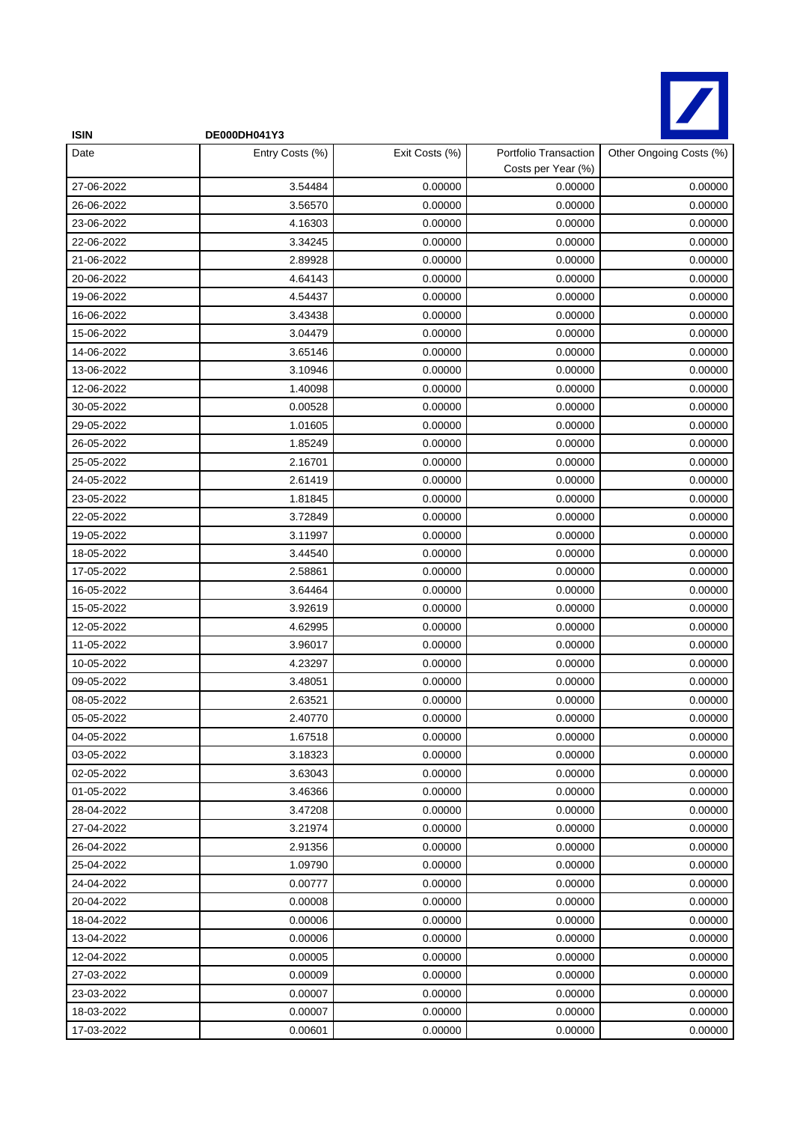

| <b>ISIN</b> | DE000DH041Y3    |                |                                             |                         |
|-------------|-----------------|----------------|---------------------------------------------|-------------------------|
| Date        | Entry Costs (%) | Exit Costs (%) | Portfolio Transaction<br>Costs per Year (%) | Other Ongoing Costs (%) |
| 27-06-2022  | 3.54484         | 0.00000        | 0.00000                                     | 0.00000                 |
| 26-06-2022  | 3.56570         | 0.00000        | 0.00000                                     | 0.00000                 |
| 23-06-2022  | 4.16303         | 0.00000        | 0.00000                                     | 0.00000                 |
| 22-06-2022  | 3.34245         | 0.00000        | 0.00000                                     | 0.00000                 |
| 21-06-2022  | 2.89928         | 0.00000        | 0.00000                                     | 0.00000                 |
| 20-06-2022  | 4.64143         | 0.00000        | 0.00000                                     | 0.00000                 |
| 19-06-2022  | 4.54437         | 0.00000        | 0.00000                                     | 0.00000                 |
| 16-06-2022  | 3.43438         | 0.00000        | 0.00000                                     | 0.00000                 |
| 15-06-2022  | 3.04479         | 0.00000        | 0.00000                                     | 0.00000                 |
| 14-06-2022  | 3.65146         | 0.00000        | 0.00000                                     | 0.00000                 |
| 13-06-2022  | 3.10946         | 0.00000        | 0.00000                                     | 0.00000                 |
| 12-06-2022  | 1.40098         | 0.00000        | 0.00000                                     | 0.00000                 |
| 30-05-2022  | 0.00528         | 0.00000        | 0.00000                                     | 0.00000                 |
| 29-05-2022  | 1.01605         | 0.00000        | 0.00000                                     | 0.00000                 |
| 26-05-2022  | 1.85249         | 0.00000        | 0.00000                                     | 0.00000                 |
| 25-05-2022  | 2.16701         | 0.00000        | 0.00000                                     | 0.00000                 |
| 24-05-2022  | 2.61419         | 0.00000        | 0.00000                                     | 0.00000                 |
| 23-05-2022  | 1.81845         | 0.00000        | 0.00000                                     | 0.00000                 |
| 22-05-2022  | 3.72849         | 0.00000        | 0.00000                                     | 0.00000                 |
| 19-05-2022  | 3.11997         | 0.00000        | 0.00000                                     | 0.00000                 |
| 18-05-2022  | 3.44540         | 0.00000        | 0.00000                                     | 0.00000                 |
| 17-05-2022  | 2.58861         | 0.00000        | 0.00000                                     | 0.00000                 |
| 16-05-2022  | 3.64464         | 0.00000        | 0.00000                                     | 0.00000                 |
| 15-05-2022  | 3.92619         | 0.00000        | 0.00000                                     | 0.00000                 |
| 12-05-2022  | 4.62995         | 0.00000        | 0.00000                                     | 0.00000                 |
| 11-05-2022  | 3.96017         | 0.00000        | 0.00000                                     | 0.00000                 |
| 10-05-2022  | 4.23297         | 0.00000        | 0.00000                                     | 0.00000                 |
| 09-05-2022  | 3.48051         | 0.00000        | 0.00000                                     | 0.00000                 |
| 08-05-2022  | 2.63521         | 0.00000        | 0.00000                                     | 0.00000                 |
| 05-05-2022  | 2.40770         | 0.00000        | 0.00000                                     | 0.00000                 |
| 04-05-2022  | 1.67518         | 0.00000        | 0.00000                                     | 0.00000                 |
| 03-05-2022  | 3.18323         | 0.00000        | 0.00000                                     | 0.00000                 |
| 02-05-2022  | 3.63043         | 0.00000        | 0.00000                                     | 0.00000                 |
| 01-05-2022  | 3.46366         | 0.00000        | 0.00000                                     | 0.00000                 |
| 28-04-2022  | 3.47208         | 0.00000        | 0.00000                                     | 0.00000                 |
| 27-04-2022  | 3.21974         | 0.00000        | 0.00000                                     | 0.00000                 |
| 26-04-2022  | 2.91356         | 0.00000        | 0.00000                                     | 0.00000                 |
| 25-04-2022  | 1.09790         | 0.00000        | 0.00000                                     | 0.00000                 |
| 24-04-2022  | 0.00777         | 0.00000        | 0.00000                                     | 0.00000                 |
| 20-04-2022  | 0.00008         | 0.00000        | 0.00000                                     | 0.00000                 |
| 18-04-2022  | 0.00006         | 0.00000        | 0.00000                                     | 0.00000                 |
| 13-04-2022  | 0.00006         | 0.00000        | 0.00000                                     | 0.00000                 |
| 12-04-2022  | 0.00005         | 0.00000        | 0.00000                                     | 0.00000                 |
| 27-03-2022  | 0.00009         | 0.00000        | 0.00000                                     | 0.00000                 |
| 23-03-2022  | 0.00007         | 0.00000        | 0.00000                                     | 0.00000                 |
| 18-03-2022  | 0.00007         | 0.00000        | 0.00000                                     | 0.00000                 |
| 17-03-2022  | 0.00601         | 0.00000        | 0.00000                                     | 0.00000                 |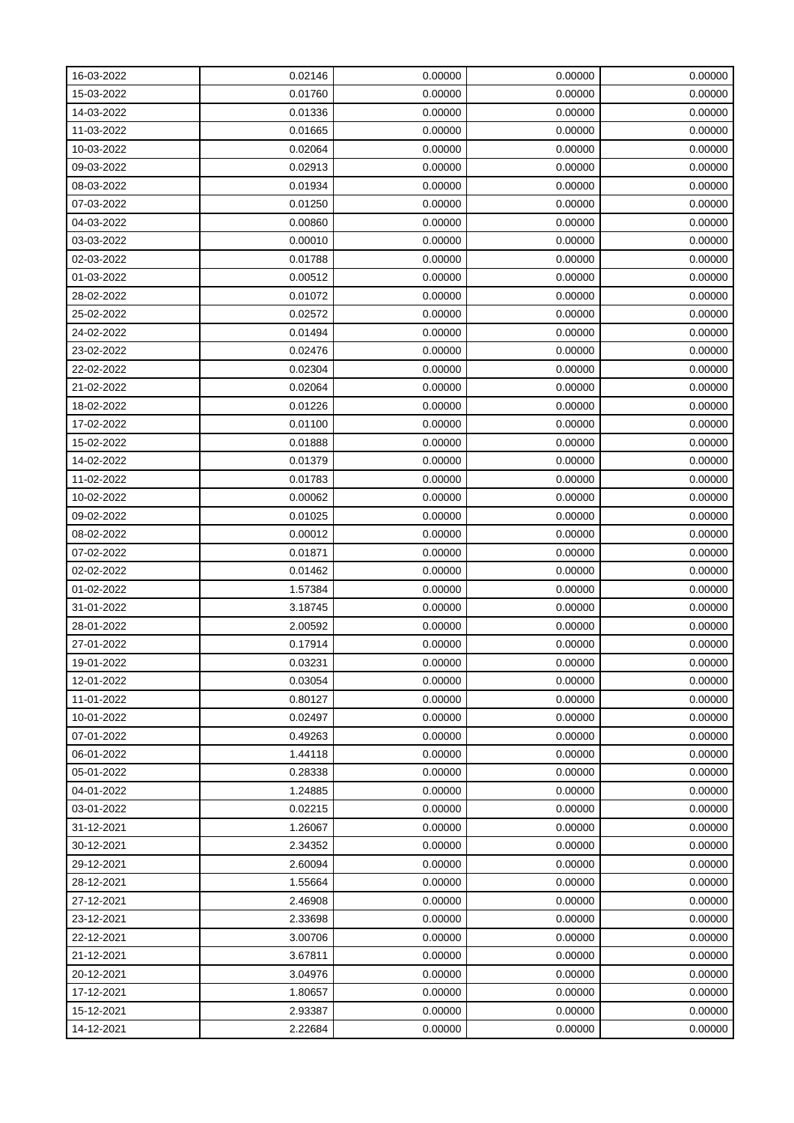| 16-03-2022 | 0.02146 | 0.00000 | 0.00000 | 0.00000 |
|------------|---------|---------|---------|---------|
| 15-03-2022 | 0.01760 | 0.00000 | 0.00000 | 0.00000 |
| 14-03-2022 | 0.01336 | 0.00000 | 0.00000 | 0.00000 |
| 11-03-2022 | 0.01665 | 0.00000 | 0.00000 | 0.00000 |
| 10-03-2022 | 0.02064 | 0.00000 | 0.00000 | 0.00000 |
| 09-03-2022 | 0.02913 | 0.00000 | 0.00000 | 0.00000 |
| 08-03-2022 | 0.01934 | 0.00000 | 0.00000 | 0.00000 |
| 07-03-2022 | 0.01250 | 0.00000 | 0.00000 | 0.00000 |
| 04-03-2022 | 0.00860 | 0.00000 | 0.00000 | 0.00000 |
| 03-03-2022 | 0.00010 | 0.00000 | 0.00000 | 0.00000 |
| 02-03-2022 | 0.01788 | 0.00000 | 0.00000 | 0.00000 |
| 01-03-2022 | 0.00512 | 0.00000 | 0.00000 | 0.00000 |
| 28-02-2022 | 0.01072 | 0.00000 | 0.00000 | 0.00000 |
| 25-02-2022 | 0.02572 | 0.00000 | 0.00000 | 0.00000 |
| 24-02-2022 | 0.01494 | 0.00000 | 0.00000 | 0.00000 |
| 23-02-2022 | 0.02476 | 0.00000 | 0.00000 | 0.00000 |
| 22-02-2022 | 0.02304 | 0.00000 | 0.00000 | 0.00000 |
| 21-02-2022 | 0.02064 | 0.00000 | 0.00000 | 0.00000 |
| 18-02-2022 | 0.01226 | 0.00000 | 0.00000 | 0.00000 |
| 17-02-2022 | 0.01100 | 0.00000 | 0.00000 | 0.00000 |
| 15-02-2022 | 0.01888 | 0.00000 | 0.00000 | 0.00000 |
| 14-02-2022 | 0.01379 | 0.00000 | 0.00000 | 0.00000 |
| 11-02-2022 | 0.01783 | 0.00000 | 0.00000 | 0.00000 |
| 10-02-2022 | 0.00062 | 0.00000 | 0.00000 | 0.00000 |
| 09-02-2022 | 0.01025 | 0.00000 | 0.00000 | 0.00000 |
| 08-02-2022 | 0.00012 | 0.00000 | 0.00000 | 0.00000 |
| 07-02-2022 | 0.01871 | 0.00000 | 0.00000 | 0.00000 |
| 02-02-2022 | 0.01462 | 0.00000 | 0.00000 | 0.00000 |
| 01-02-2022 | 1.57384 | 0.00000 | 0.00000 | 0.00000 |
| 31-01-2022 | 3.18745 | 0.00000 | 0.00000 | 0.00000 |
| 28-01-2022 | 2.00592 | 0.00000 | 0.00000 | 0.00000 |
| 27-01-2022 | 0.17914 | 0.00000 | 0.00000 | 0.00000 |
| 19-01-2022 | 0.03231 | 0.00000 | 0.00000 | 0.00000 |
| 12-01-2022 | 0.03054 | 0.00000 | 0.00000 | 0.00000 |
| 11-01-2022 | 0.80127 | 0.00000 | 0.00000 | 0.00000 |
| 10-01-2022 | 0.02497 | 0.00000 | 0.00000 | 0.00000 |
| 07-01-2022 | 0.49263 | 0.00000 | 0.00000 | 0.00000 |
| 06-01-2022 | 1.44118 | 0.00000 | 0.00000 | 0.00000 |
| 05-01-2022 | 0.28338 | 0.00000 | 0.00000 | 0.00000 |
| 04-01-2022 | 1.24885 | 0.00000 | 0.00000 | 0.00000 |
| 03-01-2022 | 0.02215 | 0.00000 | 0.00000 | 0.00000 |
| 31-12-2021 | 1.26067 | 0.00000 | 0.00000 | 0.00000 |
| 30-12-2021 | 2.34352 | 0.00000 | 0.00000 | 0.00000 |
| 29-12-2021 | 2.60094 | 0.00000 | 0.00000 | 0.00000 |
| 28-12-2021 | 1.55664 | 0.00000 | 0.00000 | 0.00000 |
| 27-12-2021 | 2.46908 | 0.00000 | 0.00000 | 0.00000 |
| 23-12-2021 | 2.33698 | 0.00000 | 0.00000 | 0.00000 |
| 22-12-2021 | 3.00706 | 0.00000 | 0.00000 | 0.00000 |
| 21-12-2021 | 3.67811 | 0.00000 | 0.00000 | 0.00000 |
| 20-12-2021 | 3.04976 | 0.00000 | 0.00000 | 0.00000 |
| 17-12-2021 | 1.80657 | 0.00000 | 0.00000 | 0.00000 |
| 15-12-2021 | 2.93387 | 0.00000 | 0.00000 | 0.00000 |
| 14-12-2021 | 2.22684 | 0.00000 | 0.00000 | 0.00000 |